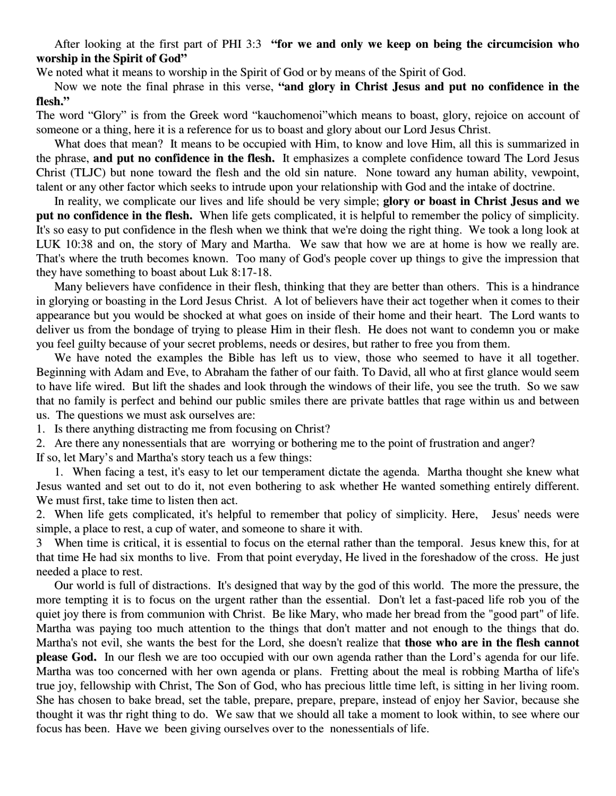After looking at the first part of PHI 3:3 **"for we and only we keep on being the circumcision who worship in the Spirit of God"**

We noted what it means to worship in the Spirit of God or by means of the Spirit of God.

Now we note the final phrase in this verse, **"and glory in Christ Jesus and put no confidence in the flesh."**

The word "Glory" is from the Greek word "kauchomenoi"which means to boast, glory, rejoice on account of someone or a thing, here it is a reference for us to boast and glory about our Lord Jesus Christ.

What does that mean? It means to be occupied with Him, to know and love Him, all this is summarized in the phrase, **and put no confidence in the flesh.** It emphasizes a complete confidence toward The Lord Jesus Christ (TLJC) but none toward the flesh and the old sin nature. None toward any human ability, vewpoint, talent or any other factor which seeks to intrude upon your relationship with God and the intake of doctrine.

In reality, we complicate our lives and life should be very simple; **glory or boast in Christ Jesus and we put no confidence in the flesh.** When life gets complicated, it is helpful to remember the policy of simplicity. It's so easy to put confidence in the flesh when we think that we're doing the right thing. We took a long look at LUK 10:38 and on, the story of Mary and Martha. We saw that how we are at home is how we really are. That's where the truth becomes known. Too many of God's people cover up things to give the impression that they have something to boast about Luk 8:17-18.

Many believers have confidence in their flesh, thinking that they are better than others. This is a hindrance in glorying or boasting in the Lord Jesus Christ. A lot of believers have their act together when it comes to their appearance but you would be shocked at what goes on inside of their home and their heart. The Lord wants to deliver us from the bondage of trying to please Him in their flesh. He does not want to condemn you or make you feel guilty because of your secret problems, needs or desires, but rather to free you from them.

We have noted the examples the Bible has left us to view, those who seemed to have it all together. Beginning with Adam and Eve, to Abraham the father of our faith. To David, all who at first glance would seem to have life wired. But lift the shades and look through the windows of their life, you see the truth. So we saw that no family is perfect and behind our public smiles there are private battles that rage within us and between us. The questions we must ask ourselves are:

1. Is there anything distracting me from focusing on Christ?

2. Are there any nonessentials that are worrying or bothering me to the point of frustration and anger?

If so, let Mary's and Martha's story teach us a few things:

1. When facing a test, it's easy to let our temperament dictate the agenda. Martha thought she knew what Jesus wanted and set out to do it, not even bothering to ask whether He wanted something entirely different. We must first, take time to listen then act.

2. When life gets complicated, it's helpful to remember that policy of simplicity. Here, Jesus' needs were simple, a place to rest, a cup of water, and someone to share it with.

3 When time is critical, it is essential to focus on the eternal rather than the temporal. Jesus knew this, for at that time He had six months to live. From that point everyday, He lived in the foreshadow of the cross. He just needed a place to rest.

Our world is full of distractions. It's designed that way by the god of this world. The more the pressure, the more tempting it is to focus on the urgent rather than the essential. Don't let a fast-paced life rob you of the quiet joy there is from communion with Christ. Be like Mary, who made her bread from the "good part" of life. Martha was paying too much attention to the things that don't matter and not enough to the things that do. Martha's not evil, she wants the best for the Lord, she doesn't realize that **those who are in the flesh cannot please God.** In our flesh we are too occupied with our own agenda rather than the Lord's agenda for our life. Martha was too concerned with her own agenda or plans. Fretting about the meal is robbing Martha of life's true joy, fellowship with Christ, The Son of God, who has precious little time left, is sitting in her living room. She has chosen to bake bread, set the table, prepare, prepare, prepare, instead of enjoy her Savior, because she thought it was thr right thing to do. We saw that we should all take a moment to look within, to see where our focus has been. Have we been giving ourselves over to the nonessentials of life.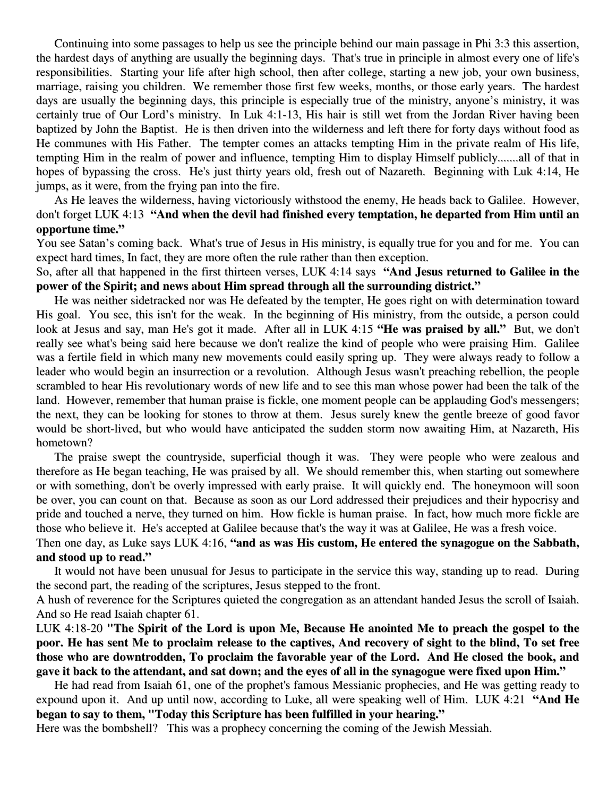Continuing into some passages to help us see the principle behind our main passage in Phi 3:3 this assertion, the hardest days of anything are usually the beginning days. That's true in principle in almost every one of life's responsibilities. Starting your life after high school, then after college, starting a new job, your own business, marriage, raising you children. We remember those first few weeks, months, or those early years. The hardest days are usually the beginning days, this principle is especially true of the ministry, anyone's ministry, it was certainly true of Our Lord's ministry. In Luk 4:1-13, His hair is still wet from the Jordan River having been baptized by John the Baptist. He is then driven into the wilderness and left there for forty days without food as He communes with His Father. The tempter comes an attacks tempting Him in the private realm of His life, tempting Him in the realm of power and influence, tempting Him to display Himself publicly.......all of that in hopes of bypassing the cross. He's just thirty years old, fresh out of Nazareth. Beginning with Luk 4:14, He jumps, as it were, from the frying pan into the fire.

As He leaves the wilderness, having victoriously withstood the enemy, He heads back to Galilee. However, don't forget LUK 4:13 **"And when the devil had finished every temptation, he departed from Him until an opportune time."**

You see Satan's coming back. What's true of Jesus in His ministry, is equally true for you and for me. You can expect hard times, In fact, they are more often the rule rather than then exception.

So, after all that happened in the first thirteen verses, LUK 4:14 says **"And Jesus returned to Galilee in the power of the Spirit; and news about Him spread through all the surrounding district."**

He was neither sidetracked nor was He defeated by the tempter, He goes right on with determination toward His goal. You see, this isn't for the weak. In the beginning of His ministry, from the outside, a person could look at Jesus and say, man He's got it made. After all in LUK 4:15 **"He was praised by all."** But, we don't really see what's being said here because we don't realize the kind of people who were praising Him. Galilee was a fertile field in which many new movements could easily spring up. They were always ready to follow a leader who would begin an insurrection or a revolution. Although Jesus wasn't preaching rebellion, the people scrambled to hear His revolutionary words of new life and to see this man whose power had been the talk of the land. However, remember that human praise is fickle, one moment people can be applauding God's messengers; the next, they can be looking for stones to throw at them. Jesus surely knew the gentle breeze of good favor would be short-lived, but who would have anticipated the sudden storm now awaiting Him, at Nazareth, His hometown?

The praise swept the countryside, superficial though it was. They were people who were zealous and therefore as He began teaching, He was praised by all. We should remember this, when starting out somewhere or with something, don't be overly impressed with early praise. It will quickly end. The honeymoon will soon be over, you can count on that. Because as soon as our Lord addressed their prejudices and their hypocrisy and pride and touched a nerve, they turned on him. How fickle is human praise. In fact, how much more fickle are those who believe it. He's accepted at Galilee because that's the way it was at Galilee, He was a fresh voice.

## Then one day, as Luke says LUK 4:16, **"and as was His custom, He entered the synagogue on the Sabbath, and stood up to read."**

It would not have been unusual for Jesus to participate in the service this way, standing up to read. During the second part, the reading of the scriptures, Jesus stepped to the front.

A hush of reverence for the Scriptures quieted the congregation as an attendant handed Jesus the scroll of Isaiah. And so He read Isaiah chapter 61.

LUK 4:18-20 **"The Spirit of the Lord is upon Me, Because He anointed Me to preach the gospel to the** poor. He has sent Me to proclaim release to the captives, And recovery of sight to the blind, To set free **those who are downtrodden, To proclaim the favorable year of the Lord. And He closed the book, and** gave it back to the attendant, and sat down; and the eyes of all in the synagogue were fixed upon Him."

He had read from Isaiah 61, one of the prophet's famous Messianic prophecies, and He was getting ready to expound upon it. And up until now, according to Luke, all were speaking well of Him. LUK 4:21 **"And He began to say to them, "Today this Scripture has been fulfilled in your hearing."**

Here was the bombshell? This was a prophecy concerning the coming of the Jewish Messiah.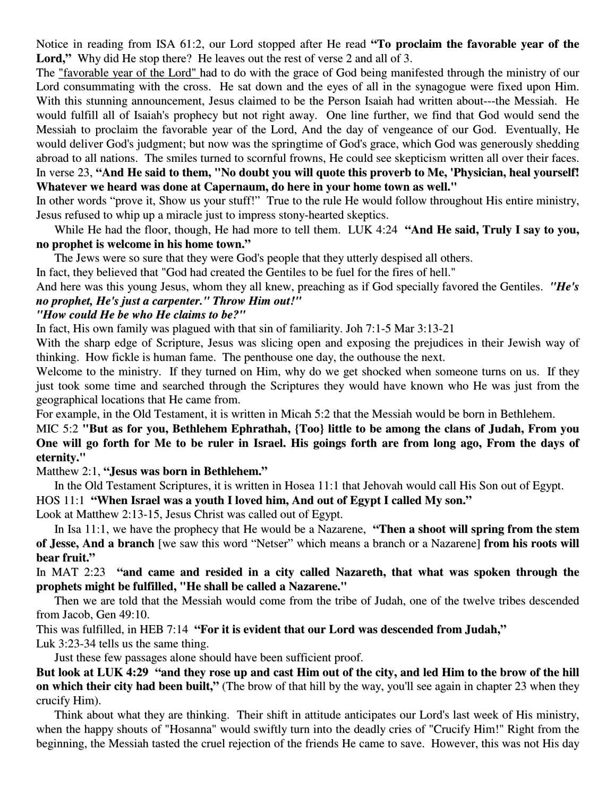Notice in reading from ISA 61:2, our Lord stopped after He read **"To proclaim the favorable year of the** Lord," Why did He stop there? He leaves out the rest of verse 2 and all of 3.

The "favorable year of the Lord" had to do with the grace of God being manifested through the ministry of our Lord consummating with the cross. He sat down and the eyes of all in the synagogue were fixed upon Him. With this stunning announcement, Jesus claimed to be the Person Isaiah had written about---the Messiah. He would fulfill all of Isaiah's prophecy but not right away. One line further, we find that God would send the Messiah to proclaim the favorable year of the Lord, And the day of vengeance of our God. Eventually, He would deliver God's judgment; but now was the springtime of God's grace, which God was generously shedding abroad to all nations. The smiles turned to scornful frowns, He could see skepticism written all over their faces. In verse 23, "And He said to them, "No doubt you will quote this proverb to Me, 'Physician, heal yourself! **Whatever we heard was done at Capernaum, do here in your home town as well."**

In other words "prove it, Show us your stuff!" True to the rule He would follow throughout His entire ministry, Jesus refused to whip up a miracle just to impress stony-hearted skeptics.

While He had the floor, though, He had more to tell them. LUK 4:24 **"And He said, Truly I say to you, no prophet is welcome in his home town."**

The Jews were so sure that they were God's people that they utterly despised all others.

In fact, they believed that "God had created the Gentiles to be fuel for the fires of hell."

And here was this young Jesus, whom they all knew, preaching as if God specially favored the Gentiles. *"He's no prophet, He's just a carpenter." Throw Him out!"*

## *"How could He be who He claims to be?"*

In fact, His own family was plagued with that sin of familiarity. Joh 7:1-5 Mar 3:13-21

With the sharp edge of Scripture, Jesus was slicing open and exposing the prejudices in their Jewish way of thinking. How fickle is human fame. The penthouse one day, the outhouse the next.

Welcome to the ministry. If they turned on Him, why do we get shocked when someone turns on us. If they just took some time and searched through the Scriptures they would have known who He was just from the geographical locations that He came from.

For example, in the Old Testament, it is written in Micah 5:2 that the Messiah would be born in Bethlehem.

MIC 5:2 **"But as for you, Bethlehem Ephrathah, {Too} little to be among the clans of Judah, From you** One will go forth for Me to be ruler in Israel. His goings forth are from long ago, From the days of **eternity."**

Matthew 2:1, **"Jesus was born in Bethlehem."**

In the Old Testament Scriptures, it is written in Hosea 11:1 that Jehovah would call His Son out of Egypt. HOS 11:1 **"When Israel was a youth I loved him, And out of Egypt I called My son."**

Look at Matthew 2:13-15, Jesus Christ was called out of Egypt.

In Isa 11:1, we have the prophecy that He would be a Nazarene, **"Then a shoot will spring from the stem of Jesse, And a branch** [we saw this word "Netser" which means a branch or a Nazarene] **from his roots will bear fruit."**

In MAT 2:23 **"and came and resided in a city called Nazareth, that what was spoken through the prophets might be fulfilled, "He shall be called a Nazarene."**

Then we are told that the Messiah would come from the tribe of Judah, one of the twelve tribes descended from Jacob, Gen 49:10.

This was fulfilled, in HEB 7:14 **"For it is evident that our Lord was descended from Judah,"**

Luk 3:23-34 tells us the same thing.

Just these few passages alone should have been sufficient proof.

But look at LUK 4:29 "and they rose up and cast Him out of the city, and led Him to the brow of the hill **on which their city had been built,"** (The brow of that hill by the way, you'll see again in chapter 23 when they crucify Him).

Think about what they are thinking. Their shift in attitude anticipates our Lord's last week of His ministry, when the happy shouts of "Hosanna" would swiftly turn into the deadly cries of "Crucify Him!" Right from the beginning, the Messiah tasted the cruel rejection of the friends He came to save. However, this was not His day